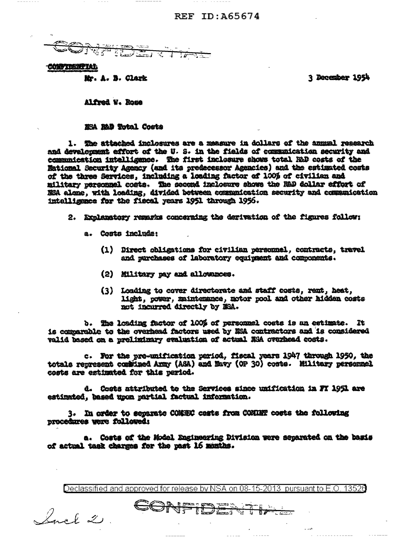### REF ID: A65674

**ALANDRA PARTICIPAL AREA** 

#### **CONFIDENTIAL**

Mr. A. B. Clark

3 December 1954

Alfred W. Rose

MEA MAD Total Costs

1. The attached inclosures are a measure in dollars of the annual research and development effort of the U.S. in the fields of communication security and communication intelligence. The first inclesure shows total RAD costs of the National Security Agency (and its predecessor Agencies) and the estimated costs of the three Services, including a loading factor of 100% of civilian and military personnel costs. The second inclosure shows the R&D dollar effort of NSA alone, with loading, divided between communication security and communication intelligence for the fiscal years 1951 through 1956.

2. Explanatory remarks concerning the derivation of the figures follow:

- a. Costa include:
	- (1) Direct obligations for civilian personnel, contracts, travel and rurchases of laboratory equipment and components.
	- (2) Military pay and allowances.
	- (3) Loading to cover directorate and staff costs, rent, heat, light, power, maintenance, motor pool and other hidden costs not incurred directly by MSA.

b. The loading factor of 100% of personnel costs is an estimate. It is comparable to the overhead factors used by MSA contractors and is considered valid based on a preliminary evaluation of actual NSA overhead costs.

c. For the pre-unification period, fiscal years 1947 through 1950, the totals represent combined Army (ASA) and Mavy (OP 30) costs. Military personnel costs are estimated for this period.

d. Costs attributed to the Services since unification in FT 1951 are estimated, hased upon partial factual information.

3. In order to separate COMEEC cests from COMINN costs the following procedures were followed:

a. Costs of the Model Engineering Division were separated on the basis of actual task charges for the past 16 months.

Declassified and approved for release by NSA on 08-15-2013 pursuant to E.O. 13520

 $\frac{1}{2}$ 

VFIDES

Sack 2.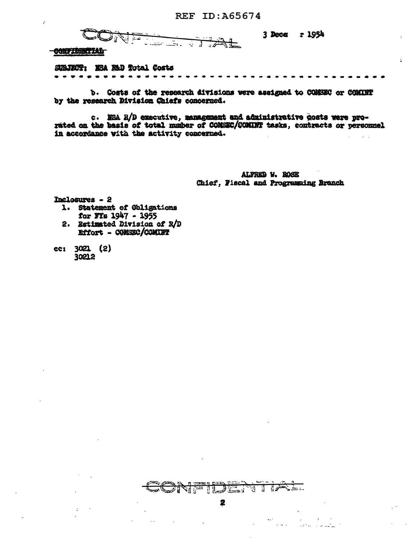**CNET**  $\sqrt{1+x^2}$ 

3 Dece r 1954

 $\overline{\mathbf{y}}$ 

CONFIDENTIAL

 $\mathbf{r}$ 

SUBJECT: ESA RAD Total Costs *<u>Bill and the second second</u>* 

b. Costs of the research divisions were assigned to COMSEC or COMINT by the research Division Chiefs concerned.

c. NSA R/D executive, management and administrative costs were prorated on the basis of total manber of COMEEC/COMINT tasks, contracts or personnel in accordance with the activity concerned.

> ALFRED V. ROSE Chief. Fiscal and Progremaing Branch

Inclosures - 2

- 1. Statement of Obligations for FIs 1947 - 1955
- 2. Estimated Division of R/D Effort - COMSEC/COMINT

ec: 3021 (2) 30212



堡

 $\mathbf{L} = \mathbf{L}$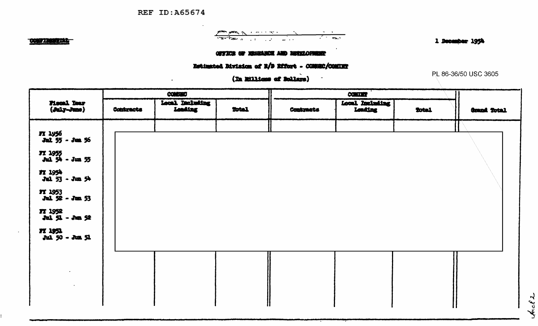**REF ID: A65674** 

### **CONSTRAINTENT**

# 

1 December 1954

### OFFICE OF ESSEANCE AND DEVELOPMENT

## Estimated Myinion of R/D Effort - CONSEC/CONDET

(In Millions of Bollars)

PL 86-36/50 USC 3605

 $k.c.$   $\lambda$ 

|                                                                                                                                                                                                    |                   | <b>CONSING</b>            |       |                  |                            |         |             |
|----------------------------------------------------------------------------------------------------------------------------------------------------------------------------------------------------|-------------------|---------------------------|-------|------------------|----------------------------|---------|-------------|
| Fiscal Year<br>$(d$ uly-June)                                                                                                                                                                      | <b>Contantote</b> | Local Deluting<br>Loading | Total | <b>Contracts</b> | Local Including<br>Londing | flotal. | Grand Total |
| FY 1956<br>Jul 55 - Jun 36<br>FX 1955<br>Aul 54 - Jun 55<br>FT 1954<br>Jul 53 - Jun 54<br><b>FT 1953</b><br>$Jal$ $52 - Jan$ 53<br><b>77 1952</b><br>$32.52 - 32.52$<br>77 1951<br>Jul 50 - Jun 51 |                   |                           |       |                  |                            |         |             |
| $\mathcal{L}_{\mathcal{A}}$<br>$\sim$                                                                                                                                                              |                   |                           |       |                  |                            |         |             |